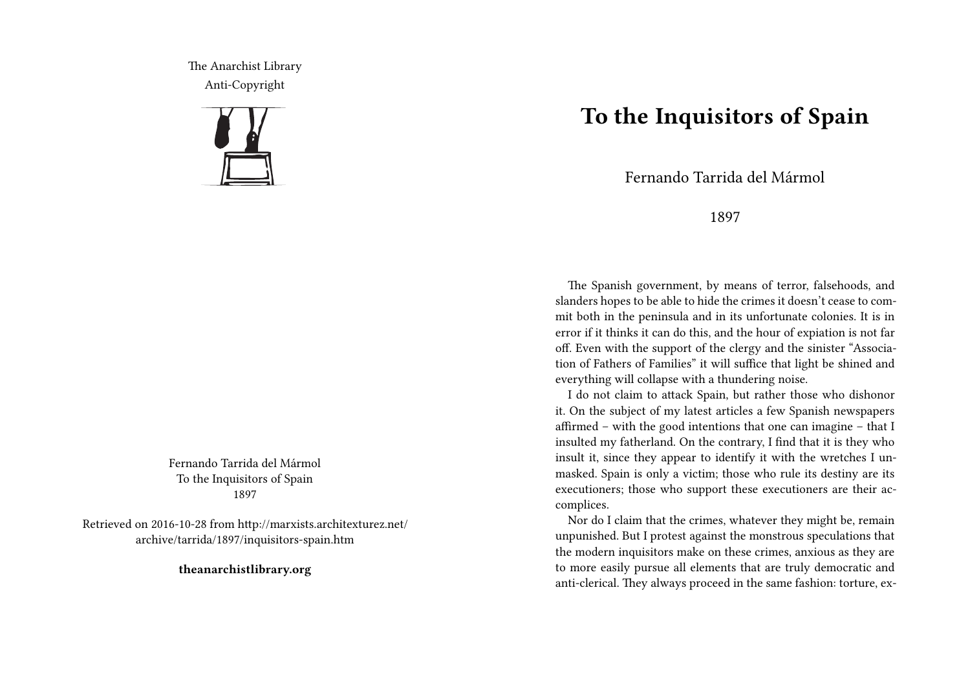The Anarchist Library Anti-Copyright



Fernando Tarrida del Mármol To the Inquisitors of Spain 1897

Retrieved on 2016-10-28 from http://marxists.architexturez.net/ archive/tarrida/1897/inquisitors-spain.htm

**theanarchistlibrary.org**

## **To the Inquisitors of Spain**

Fernando Tarrida del Mármol

## 1897

The Spanish government, by means of terror, falsehoods, and slanders hopes to be able to hide the crimes it doesn't cease to commit both in the peninsula and in its unfortunate colonies. It is in error if it thinks it can do this, and the hour of expiation is not far off. Even with the support of the clergy and the sinister "Association of Fathers of Families" it will suffice that light be shined and everything will collapse with a thundering noise.

I do not claim to attack Spain, but rather those who dishonor it. On the subject of my latest articles a few Spanish newspapers affirmed – with the good intentions that one can imagine – that I insulted my fatherland. On the contrary, I find that it is they who insult it, since they appear to identify it with the wretches I unmasked. Spain is only a victim; those who rule its destiny are its executioners; those who support these executioners are their accomplices.

Nor do I claim that the crimes, whatever they might be, remain unpunished. But I protest against the monstrous speculations that the modern inquisitors make on these crimes, anxious as they are to more easily pursue all elements that are truly democratic and anti-clerical. They always proceed in the same fashion: torture, ex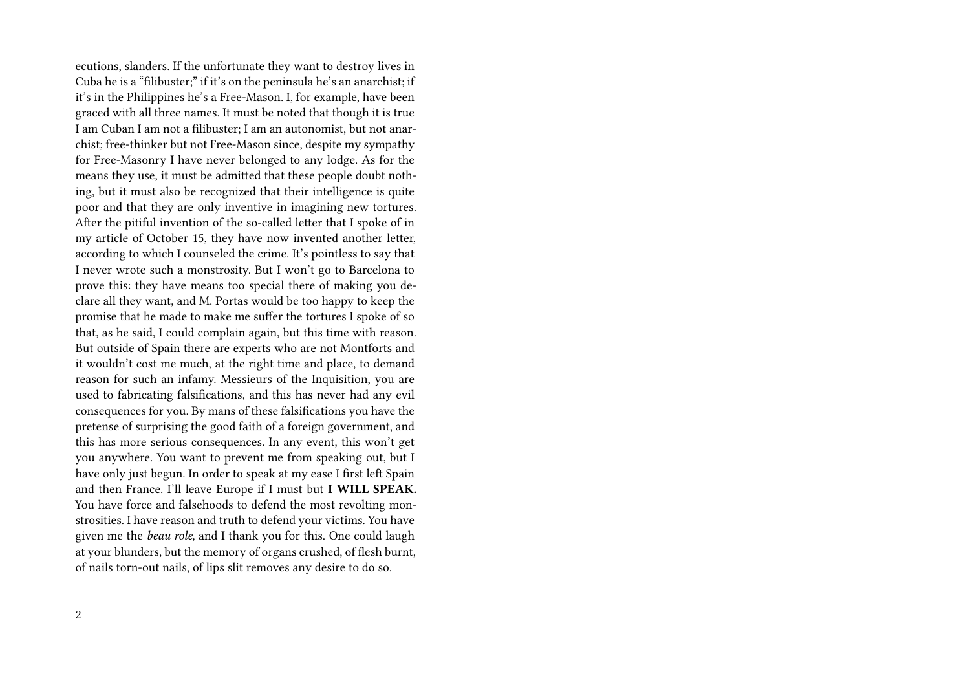ecutions, slanders. If the unfortunate they want to destroy lives in Cuba he is a "filibuster;" if it's on the peninsula he's an anarchist; if it's in the Philippines he's a Free-Mason. I, for example, have been graced with all three names. It must be noted that though it is true I am Cuban I am not a filibuster; I am an autonomist, but not anarchist; free-thinker but not Free-Mason since, despite my sympathy for Free-Masonry I have never belonged to any lodge. As for the means they use, it must be admitted that these people doubt nothing, but it must also be recognized that their intelligence is quite poor and that they are only inventive in imagining new tortures. After the pitiful invention of the so-called letter that I spoke of in my article of October 15, they have now invented another letter, according to which I counseled the crime. It's pointless to say that I never wrote such a monstrosity. But I won't go to Barcelona to prove this: they have means too special there of making you declare all they want, and M. Portas would be too happy to keep the promise that he made to make me suffer the tortures I spoke of so that, as he said, I could complain again, but this time with reason. But outside of Spain there are experts who are not Montforts and it wouldn't cost me much, at the right time and place, to demand reason for such an infamy. Messieurs of the Inquisition, you are used to fabricating falsifications, and this has never had any evil consequences for you. By mans of these falsifications you have the pretense of surprising the good faith of a foreign government, and this has more serious consequences. In any event, this won't get you anywhere. You want to prevent me from speaking out, but I have only just begun. In order to speak at my ease I first left Spain and then France. I'll leave Europe if I must but **I WILL SPEAK.** You have force and falsehoods to defend the most revolting monstrosities. I have reason and truth to defend your victims. You have given me the *beau role,* and I thank you for this. One could laugh at your blunders, but the memory of organs crushed, of flesh burnt, of nails torn-out nails, of lips slit removes any desire to do so.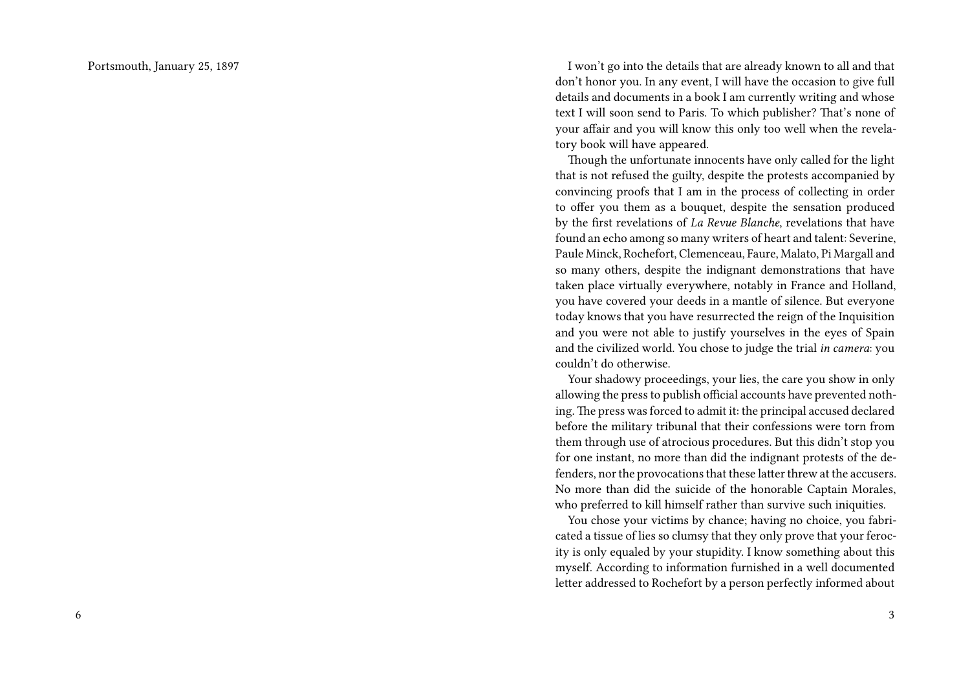Portsmouth, January 25, 1897

I won't go into the details that are already known to all and that don't honor you. In any event, I will have the occasion to give full details and documents in a book I am currently writing and whose text I will soon send to Paris. To which publisher? That's none of your affair and you will know this only too well when the revelatory book will have appeared.

Though the unfortunate innocents have only called for the light that is not refused the guilty, despite the protests accompanied by convincing proofs that I am in the process of collecting in order to offer you them as a bouquet, despite the sensation produced by the first revelations of *La Revue Blanche*, revelations that have found an echo among so many writers of heart and talent: Severine, Paule Minck, Rochefort, Clemenceau, Faure, Malato, Pi Margall and so many others, despite the indignant demonstrations that have taken place virtually everywhere, notably in France and Holland, you have covered your deeds in a mantle of silence. But everyone today knows that you have resurrected the reign of the Inquisition and you were not able to justify yourselves in the eyes of Spain and the civilized world. You chose to judge the trial *in camera*: you couldn't do otherwise.

Your shadowy proceedings, your lies, the care you show in only allowing the press to publish official accounts have prevented nothing. The press was forced to admit it: the principal accused declared before the military tribunal that their confessions were torn from them through use of atrocious procedures. But this didn't stop you for one instant, no more than did the indignant protests of the defenders, nor the provocations that these latter threw at the accusers. No more than did the suicide of the honorable Captain Morales, who preferred to kill himself rather than survive such iniquities.

You chose your victims by chance; having no choice, you fabricated a tissue of lies so clumsy that they only prove that your ferocity is only equaled by your stupidity. I know something about this myself. According to information furnished in a well documented letter addressed to Rochefort by a person perfectly informed about